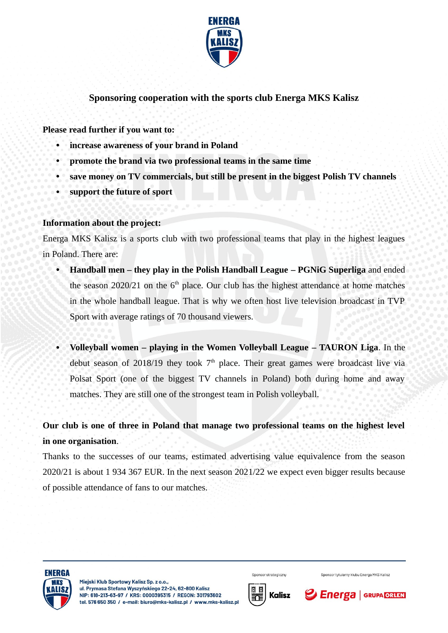

## **Sponsoring cooperation with the sports club Energa MKS Kalisz**

**Please read further if you want to:**

- **increase awareness of your brand in Poland**
- **promote the brand via two professional teams in the same time**
- **save money on TV commercials, but still be present in the biggest Polish TV channels**
- **support the future of sport**

#### **Information about the project:**

Energa MKS Kalisz is a sports club with two professional teams that play in the highest leagues in Poland. There are:

- **Handball men they play in the Polish Handball League PGNiG Superliga** and ended the season 2020/21 on the  $6<sup>th</sup>$  place. Our club has the highest attendance at home matches in the whole handball league. That is why we often host live television broadcast in TVP Sport with average ratings of 70 thousand viewers.
- **Volleyball women playing in the Women Volleyball League TAURON Liga**. In the debut season of 2018/19 they took  $7<sup>th</sup>$  place. Their great games were broadcast live via Polsat Sport (one of the biggest TV channels in Poland) both during home and away matches. They are still one of the strongest team in Polish volleyball.

# **Our club is one of three in Poland that manage two professional teams on the highest level in one organisation**.

Thanks to the successes of our teams, estimated advertising value equivalence from the season 2020/21 is about 1 934 367 EUR. In the next season 2021/22 we expect even bigger results because of possible attendance of fans to our matches.





Sponsor strategiczny

Sponsor tytularny klubu Energa MKS Kalisz

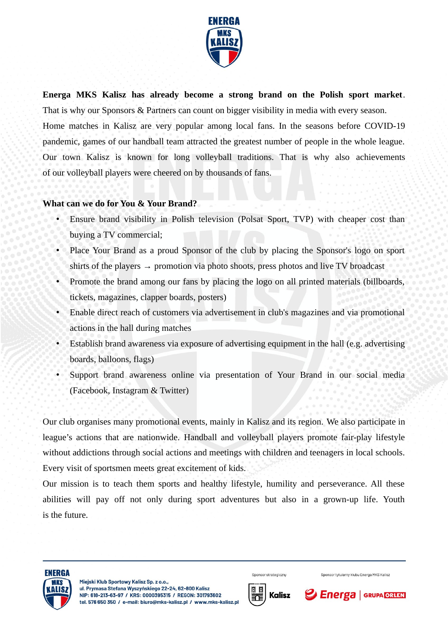

**Energa MKS Kalisz has already become a strong brand on the Polish sport market**. That is why our Sponsors & Partners can count on bigger visibility in media with every season. Home matches in Kalisz are very popular among local fans. In the seasons before COVID-19 pandemic, games of our handball team attracted the greatest number of people in the whole league. Our town Kalisz is known for long volleyball traditions. That is why also achievements of our volleyball players were cheered on by thousands of fans.

### **What can we do for You & Your Brand?**

- Ensure brand visibility in Polish television (Polsat Sport, TVP) with cheaper cost than buying a TV commercial;
- Place Your Brand as a proud Sponsor of the club by placing the Sponsor's logo on sport shirts of the players  $\rightarrow$  promotion via photo shoots, press photos and live TV broadcast
- Promote the brand among our fans by placing the logo on all printed materials (billboards, tickets, magazines, clapper boards, posters)
- Enable direct reach of customers via advertisement in club's magazines and via promotional actions in the hall during matches
- Establish brand awareness via exposure of advertising equipment in the hall (e.g. advertising boards, balloons, flags)
- Support brand awareness online via presentation of Your Brand in our social media (Facebook, Instagram & Twitter)

Our club organises many promotional events, mainly in Kalisz and its region. We also participate in league's actions that are nationwide. Handball and volleyball players promote fair-play lifestyle without addictions through social actions and meetings with children and teenagers in local schools. Every visit of sportsmen meets great excitement of kids.

Our mission is to teach them sports and healthy lifestyle, humility and perseverance. All these abilities will pay off not only during sport adventures but also in a grown-up life. Youth is the future.





Sponsor strategiczny

Sponsor tytularny klubu Energa MKS Kalisz